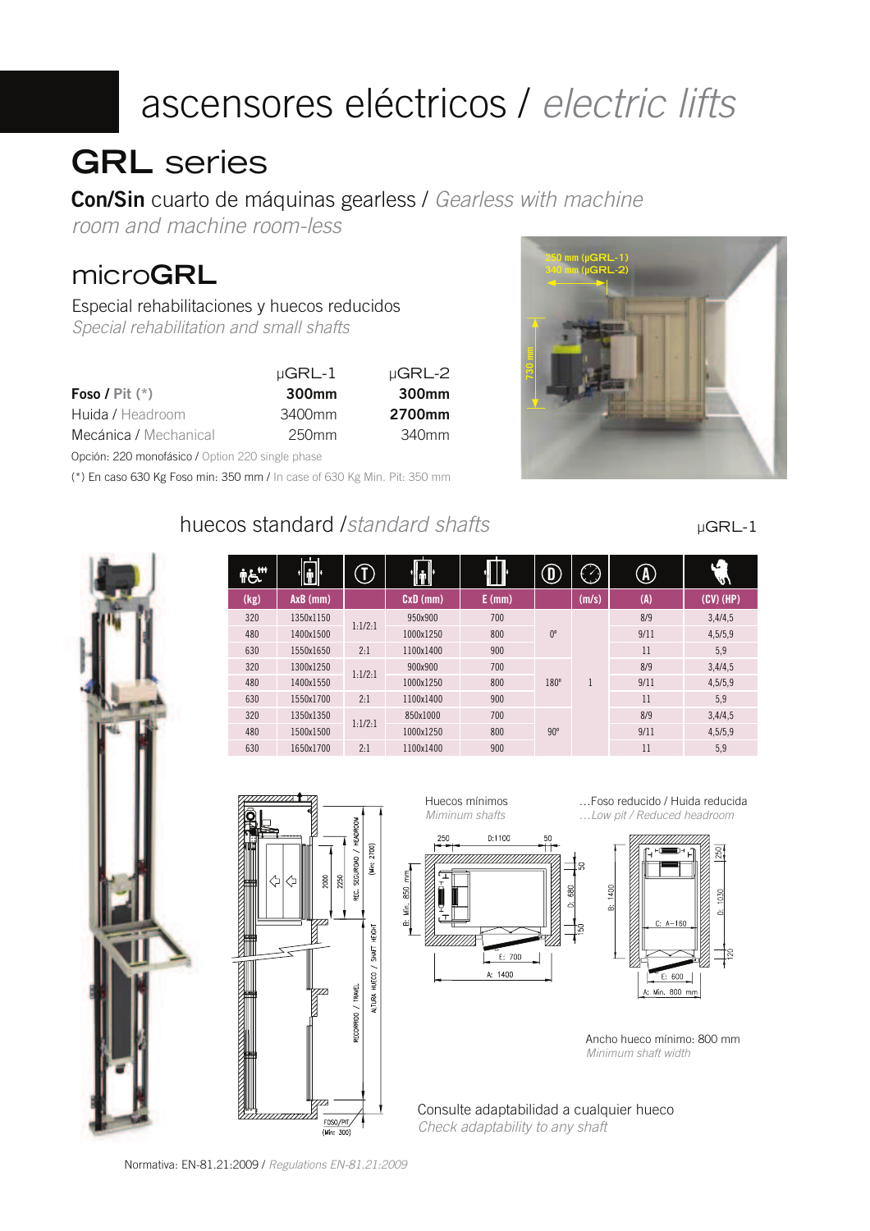# ascensores eléctricos / electric lifts

## **GRL** series

**Con/Sin** cuarto de máquinas gearless / Gearless with machine

room and machine room-less

## micro**GRL**

Especial rehabilitaciones y huecos reducidos Special rehabilitation and small shafts

|                                                  | $\mu$ GRL-1       | $\mu$ GRL-2 |
|--------------------------------------------------|-------------------|-------------|
| <b>Foso / Pit</b> $(*)$                          | 300 <sub>mm</sub> | 300mm       |
| Huida / Headroom                                 | 3400mm            | 2700mm      |
| Mecánica / Mechanical                            | 250 <sub>mm</sub> | 340mm       |
| Opción: 220 monofásico / Option 220 single phase |                   |             |

(\*) En caso 630 Kg Foso min: 350 mm / In case of 630 Kg Min. Pit: 350 mm

#### huecos standard /standard shafts



µGRL-1

| ŤĠ.  | <u>n</u> ∥ |         |            |          |             | $\bullet$ | $\left(\texttt{A}\right)$ | hei         |
|------|------------|---------|------------|----------|-------------|-----------|---------------------------|-------------|
| (kg) | $AxB$ (mm) |         | $CxD$ (mm) | $E$ (mm) |             | (m/s)     | (A)                       | $(CV)$ (HP) |
| 320  | 1350x1150  |         | 950x900    | 700      |             |           | 8/9                       | 3,4/4,5     |
| 480  | 1400x1500  | 1:1/2:1 | 1000x1250  | 800      | $0^{\circ}$ |           | 9/11                      | 4,5/5,9     |
| 630  | 1550x1650  | 2:1     | 1100x1400  | 900      |             |           | 11                        | 5,9         |
| 320  | 1300x1250  | 1:1/2:1 | 900x900    | 700      |             |           | 8/9                       | 3,4/4,5     |
| 480  | 1400x1550  |         | 1000x1250  | 800      | $180^\circ$ |           | 9/11                      | 4,5/5,9     |
| 630  | 1550x1700  | 2:1     | 1100x1400  | 900      |             |           | 11                        | 5,9         |
| 320  | 1350x1350  | 1:1/2:1 | 850x1000   | 700      |             |           | 8/9                       | 3,4/4,5     |
| 480  | 1500x1500  |         | 1000x1250  | 800      | $90^\circ$  |           | 9/11                      | 4,5/5,9     |
| 630  | 1650x1700  | 2:1     | 1100x1400  | 900      |             |           | 11                        | 5,9         |



Huecos mínimos Miminum shafts

 $D:1100$ 

7777777777

 $\epsilon$ : 700 A:  $1400$ 

…Foso reducido / Huida reducida …Low pit / Reduced headroom



Ancho hueco mínimo: 800 mm Minimum shaft width

Consulte adaptabilidad a cualquier hueco Check adaptability to any shaft

Normativa: EN-81.21:2009 / Regulations EN-81.21:2009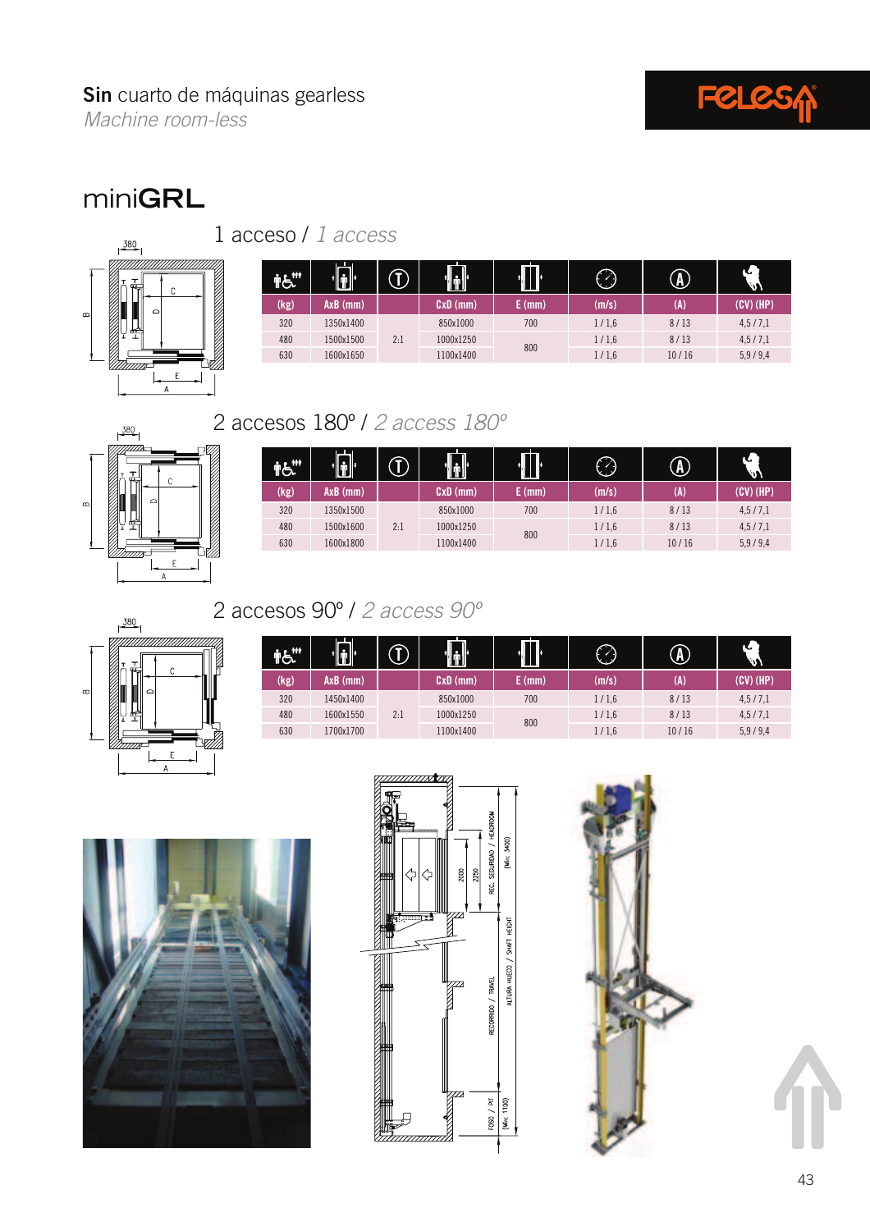

#### **Sin** cuarto de máquinas gearless

Machine room-less

## mini**GRL**



1 acceso / 1 access

| m.   | lâ l'     |     | u u u     | $\prod$ | $\bullet$ | A     | к.<br>lavi  |
|------|-----------|-----|-----------|---------|-----------|-------|-------------|
| (kg) | AxB (mm)  |     | CxD (mm)  | E (mm)  | (m/s)     | (A)   | $(CV)$ (HP) |
| 320  | 1350x1400 |     | 850x1000  | 700     | 1/1,6     | 8/13  | 4,5/7,1     |
| 480  | 1500x1500 | 2:1 | 1000x1250 |         | 1/1.6     | 8/13  | 4,5/7,1     |
| 630  | 1600x1650 |     | 1100x1400 | 800     | 1/1,6     | 10/16 | 5,9/9,4     |

### 2 accesos 180º / 2 access 180º



380

 $\mathsf F$  $\Delta$ 

|      |           | - 1 | <u> j </u> | I      |       |       | κ.<br>lais |
|------|-----------|-----|------------|--------|-------|-------|------------|
| (kg) | AxB (mm)  |     | CxD (mm)   | E (mm) | (m/s) | (A)   | (CV) (HP)  |
| 320  | 1350x1500 | 2:1 | 850x1000   | 700    | 1/1,6 | 8/13  | 4,5/7,1    |
| 480  | 1500x1600 |     | 1000x1250  |        | 1/1,6 | 8/13  | 4,5/7,1    |
| 630  | 1600x1800 |     | 1100x1400  | 800    | 1/1,6 | 10/16 | 5,9/9,4    |

## 2 accesos 90º / 2 access 90º

| <b>TIT</b> | ôľ         |     |           | I      | ↷     | $\mathbf{A}$ | lau'        |
|------------|------------|-----|-----------|--------|-------|--------------|-------------|
| (kg)       | $AxB$ (mm) |     | CxD (mm)  | E (mm) | (m/s) | (A)          | $(CV)$ (HP) |
| 320        | 1450x1400  |     | 850x1000  | 700    | 1/1,6 | 8/13         | 4,5/7,1     |
| 480        | 1600x1550  | 2:1 | 1000x1250 | 800    | 1/1,6 | 8/13         | 4,5/7,1     |
| 630        | 1700x1700  |     | 1100x1400 |        | 1/1,6 | 10/16        | 5,9/9,4     |





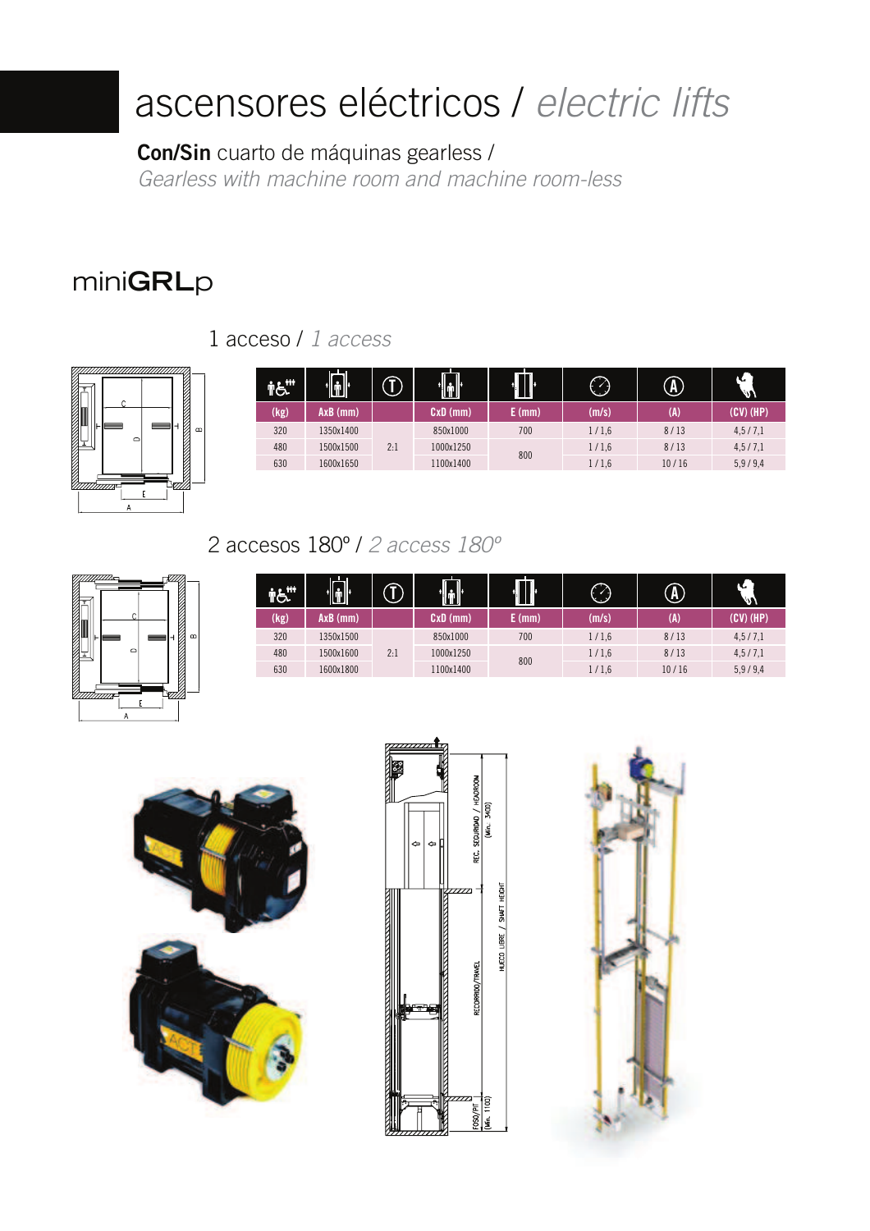# ascensores eléctricos / electric lifts

**Con/Sin** cuarto de máquinas gearless / Gearless with machine room and machine room-less

## mini**GRL**p

1 acceso / 1 access



|      | 'd'       |     | .dr        | T      |       | $\Lambda$ | μ<br>lev  |
|------|-----------|-----|------------|--------|-------|-----------|-----------|
| (kg) | AxB (mm)  |     | $CxD$ (mm) | E (mm) | (m/s) | (A)       | (CV) (HP) |
| 320  | 1350x1400 |     | 850x1000   | 700    | 1/1,6 | 8/13      | 4,5/7,1   |
| 480  | 1500x1500 | 2:1 | 1000x1250  | 800    | 1/1,6 | 8/13      | 4,5/7,1   |
| 630  | 1600x1650 |     | 1100x1400  |        | 1/1,6 | 10/16     | 5,9/9,4   |

#### 2 accesos 180º / 2 access 180º



| $\ddot{r}\dot{r}\dot{r}$ | . .<br>'İÎ | - 1 | in ll<br>u u u | $\prod$ |       | $\mathbf{F}$ | κ.<br>'us\ |
|--------------------------|------------|-----|----------------|---------|-------|--------------|------------|
| (kg)                     | AxB (mm)   |     | $CxD$ (mm)     | E (mm)  | (m/s) | (A)          | (CV) (HP)  |
| 320                      | 1350x1500  |     | 850x1000       | 700     | 1/1,6 | 8/13         | 4,5/7,1    |
| 480                      | 1500x1600  | 2:1 | 1000x1250      | 800     | 1/1,6 | 8/13         | 4,5/7,1    |
| 630                      | 1600x1800  |     | 1100x1400      |         | 1/1,6 | 10/16        | 5,9/9,4    |





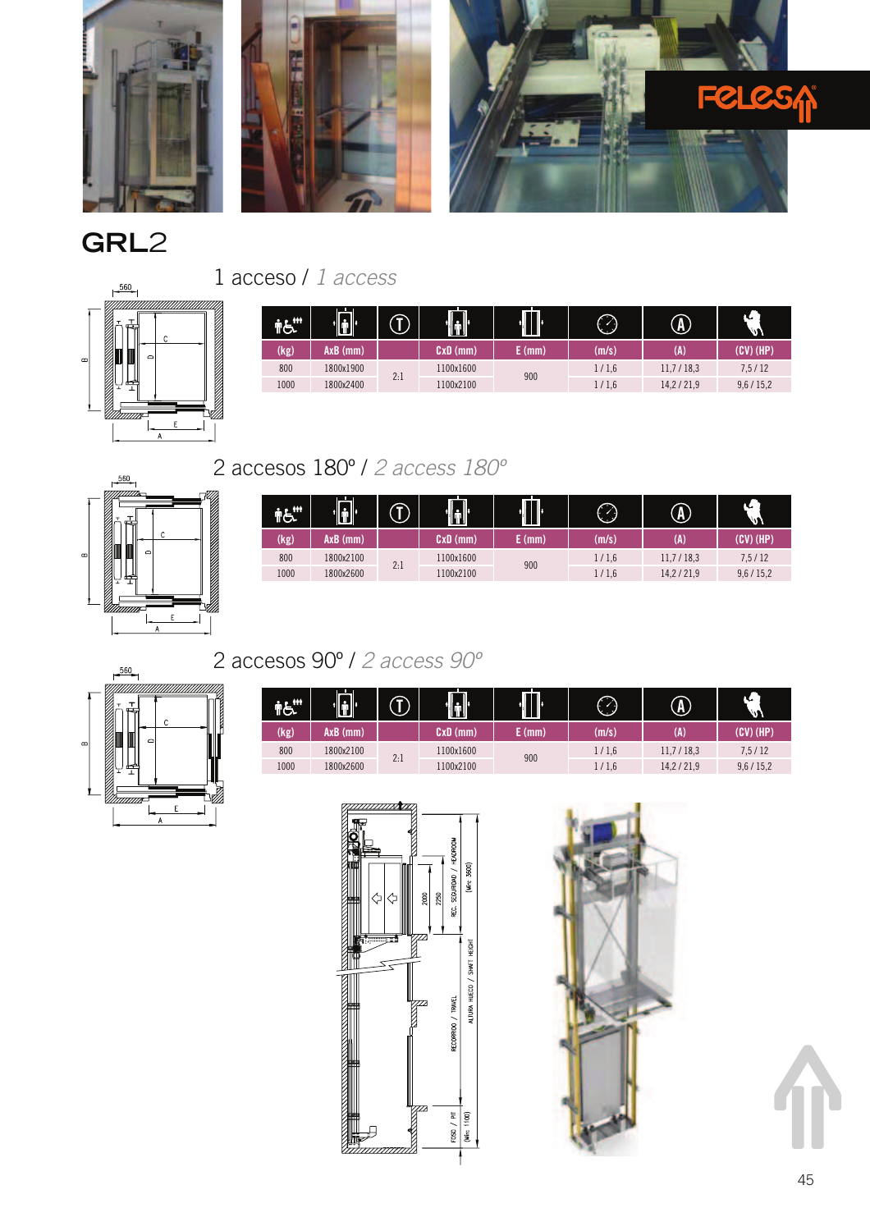

## **GRL**2





| 999  | ûľ        | ு   | $\llbracket \cdot \rrbracket$ | O<br>ш |       | $\widehat{\textbf{A}}$ | п.<br>lavi  |
|------|-----------|-----|-------------------------------|--------|-------|------------------------|-------------|
| (kg) | AxB (mm)  |     | CxD (mm)                      | E (mm) | (m/s) | (A)                    | $(CV)$ (HP) |
| 800  | 1800x1900 |     | 1100x1600                     | 900    | 1/1,6 | 11,7/18,3              | 7,5/12      |
| 1000 | 1800x2400 | 2:1 | 1100x2100                     |        | 1/1,6 | 14,2/21,9              | 9,6/15,2    |

### 2 accesos 180º / 2 access 180º



| <b>ING</b> | $\blacksquare$ |     | /lill     | <b>III</b> | ↷     | $\left( \mathbf{A}\right)$ | к.<br>w    |
|------------|----------------|-----|-----------|------------|-------|----------------------------|------------|
| (kg)       | $AxB$ (mm)     |     | CxD (mm)  | E (mm)     | (m/s) | (A)                        | (CV) (HP)  |
| 800        | 1800x2100      | 2:1 | 1100x1600 | 900        | 1/1,6 | 11,7/18,3                  | 7,5/12     |
| 1000       | 1800x2600      |     | 1100x2100 |            | 1/1,6 | 14,2/21,9                  | 9,6 / 15,2 |



#### 2 accesos 90º / 2 access 90º

| TG.  | $\dot{[\mathbf{\dot{u}}]}$ | ↷   | tů.       | $\cdot \Box$ | $\bigcirc$ | $\textcircled{\textbf{1}}$ | π.<br>lavi |
|------|----------------------------|-----|-----------|--------------|------------|----------------------------|------------|
| (kg) | $AXB$ (mm)                 |     | CxD (mm)  | (mm)         | (m/s)      | (A)                        | (CV) (HP)  |
| 800  | 1800x2100                  |     | 1100x1600 | 900          | 1/1.6      | 11,7/18,3                  | 7, 5/12    |
| 1000 | 1800x2600                  | 2:1 | 1100x2100 |              | 1/1.6      | 14,2/21,9                  | 9,6 / 15,2 |